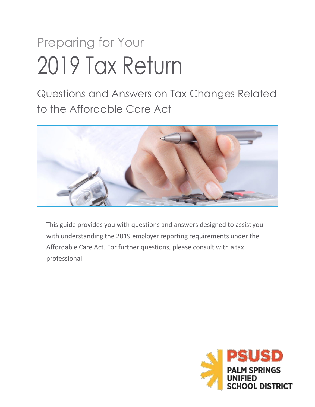# Preparing for Your 2019 Tax Return

Questions and Answers on Tax Changes Related to the Affordable Care Act



This guide provides you with questions and answers designed to assist you with understanding the 2019 employer reporting requirements under the Affordable Care Act. For further questions, please consult with a tax professional.

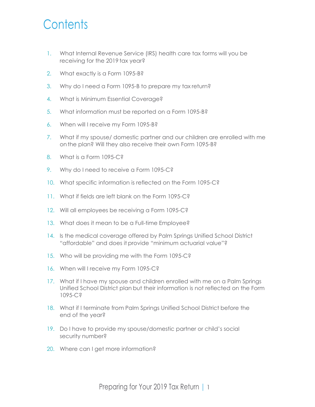# **Contents**

- 1. What Internal Revenue Service (IRS) health care tax forms will you be receiving for the 2019 tax year?
- 2. What exactly is a Form 1095-B?
- 3. Why do I need a Form 1095-B to prepare my tax return?
- 4. What is Minimum Essential Coverage?
- 5. What information must be reported on a Form 1095-B?
- 6. When will I receive my Form 1095-B?
- 7. What if my spouse/ domestic partner and our children are enrolled with me onthe plan? Will they also receive their own Form 1095-B?
- 8. What is a Form 1095-C?
- 9. Why do I need to receive a Form 1095-C?
- 10. What specific information is reflected on the Form 1095-C?
- 11. What if fields are left blank on the Form 1095-C?
- 12. Will all employees be receiving a Form 1095-C?
- 13. What does it mean to be a Full-time Employee?
- 14. Is the medical coverage offered by Palm Springs Unified School District "affordable" and does it provide "minimum actuarial value"?
- 15. Who will be providing me with the Form 1095-C?
- 16. When will I receive my Form 1095-C?
- 17. What if I have my spouse and children enrolled with me on a Palm Springs Unified School District plan but their information is not reflected on the Form 1095-C?
- 18. What if I terminate from Palm Springs Unified School District before the end of the year?
- 19. Do I have to provide my spouse/domestic partner or child's social security number?
- 20. Where can I get more information?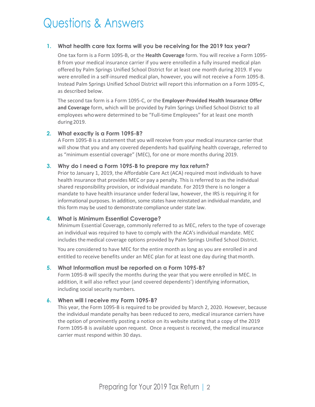#### **1. What health care tax forms will you be receiving for the 2019 tax year?**

One tax form is a Form 1095-B, or the **Health Coverage** form. You will receive a Form 1095- B from your medical insurance carrier if you were enrolledin a fully insured medical plan offered by Palm Springs Unified School District for at least one month during 2019. If you were enrolled in a self-insured medical plan, however, you will not receive a Form 1095-B. Instead Palm Springs Unified School District will report this information on a Form 1095-C, as described below.

The second tax form is a Form 1095-C, or the **Employer-Provided Health Insurance Offer and Coverage** form, which will be provided by Palm Springs Unified School District to all employees whowere determined to be "Full-time Employees" for at least one month during2019.

#### **2. What exactly is a Form 1095-B?**

A Form 1095-B is a statement that you will receive from your medical insurance carrier that will show that you and any covered dependents had qualifying health coverage, referred to as "minimum essential coverage" (MEC), for one or more months during 2019.

#### **3. Why do I need a Form 1095-B to prepare my tax return?**

Prior to January 1, 2019, the Affordable Care Act (ACA) required most individuals to have health insurance that provides MEC or pay a penalty. This is referred to as the individual shared responsibility provision, or individual mandate. For 2019 there is no longer a mandate to have health insurance under federal law, however, the IRS is requiring it for informational purposes. In addition, some states have reinstated an individual mandate, and this form may be used to demonstrate compliance under state law.

#### **4. What is Minimum Essential Coverage?**

Minimum Essential Coverage, commonly referred to as MEC, refers to the type of coverage an individual was required to have to comply with the ACA's individual mandate. MEC includes themedical coverage options provided by Palm Springs Unified School District.

You are considered to have MEC for the entire month as long as you are enrolled in and entitled to receive benefits under an MEC plan for at least one day during thatmonth.

#### **5. What Information must be reported on a Form 1095-B?**

Form 1095-B will specify the months during the year that you were enrolled in MEC. In addition, it will also reflect your (and covered dependents') identifying information, including social security numbers.

#### **6. When will I receive my Form 1095-B?**

This year, the Form 1095-B is required to be provided by March 2, 2020. However, because the individual mandate penalty has been reduced to zero, medical insurance carriers have the option of prominently posting a notice on its website stating that a copy of the 2019 Form 1095-B is available upon request. Once a request is received, the medical insurance carrier must respond within 30 days.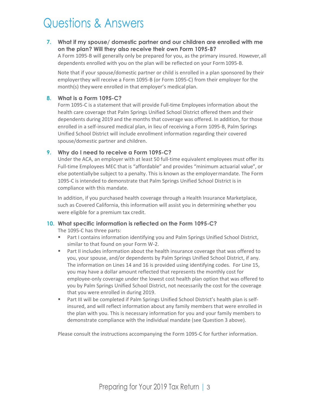#### **7. What if my spouse/ domestic partner and our children are enrolled with me on the plan? Will they also receive their own Form 1095-B?**

A Form 1095-B will generally only be prepared for you, as the primary insured. However,all dependents enrolled with you on the plan will be reflected on your Form1095-B.

Note that if your spouse/domestic partner or child is enrolled in a plan sponsored by their employerthey will receive a Form 1095-B (or Form 1095-C) from their employer for the month(s) theywere enrolled in that employer's medical plan.

#### **8. What is a Form 1095-C?**

Form 1095-C is a statement that will provide Full-time Employees information about the health care coverage that Palm Springs Unified School District offered them and their dependents during 2019 and the months that coverage was offered. In addition, for those enrolled in a self-insured medical plan, in lieu of receiving a Form 1095-B, Palm Springs Unified School District will include enrollment information regarding their covered spouse/domestic partner and children.

#### **9. Why do I need to receive a Form 1095-C?**

Under the ACA, an employer with at least 50 full-time equivalent employees must offer its Full-time Employees MEC that is "affordable" and provides "minimum actuarial value", or else potentiallybe subject to a penalty. This is known as the employermandate. The Form 1095-C is intended to demonstrate that Palm Springs Unified School District is in compliance with this mandate.

In addition, if you purchased health coverage through a Health Insurance Marketplace, such as Covered California, this information will assist you in determining whether you were eligible for a premium tax credit.

#### **10. What specific information is reflected on the Form 1095-C?**

The 1095-C has three parts:

- Part I contains information identifying you and Palm Springs Unified School District, similar to that found on your Form W-2.
- Part II includes information about the health insurance coverage that was offered to you, your spouse, and/or dependents by Palm Springs Unified School District, if any. The information on Lines 14 and 16 is provided using identifying codes. For Line 15, you may have a dollar amount reflected that represents the monthly cost for employee-only coverage under the lowest cost health plan option that was offered to you by Palm Springs Unified School District, not necessarily the cost for the coverage that you were enrolled in during 2019.
- Part III will be completed if Palm Springs Unified School District's health plan is selfinsured, and will reflect information about any family members that were enrolled in the plan with you. This is necessary information for you and your family members to demonstrate compliance with the individual mandate (see Question 3 above).

Please consult the instructions accompanying the Form 1095-C for further information.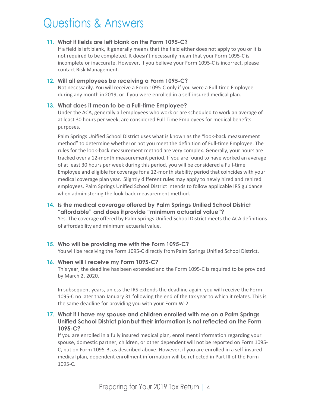#### **11. What if fields are left blank on the Form 1095-C?**

If a field is left blank, it generally means that the field either does not apply to you or it is not required to be completed. It doesn't necessarily mean that your Form 1095-C is incomplete or inaccurate. However, if you believe your Form 1095-C is incorrect, please contact Risk Management.

#### **12. Will all employees be receiving a Form 1095-C?**

Not necessarily. You will receive a Form 1095-C only if you were a Full-time Employee during any month in2019, or if you were enrolled in a self-insured medical plan.

#### **13. What does it mean to be a Full-time Employee?**

Under the ACA, generally all employees who work or are scheduled to work an average of at least 30 hours per week, are considered Full-Time Employees for medical benefits purposes.

Palm Springs Unified School District uses what is known as the "look-back measurement method" to determine whetheror not you meet the definition of Full-time Employee. The rules for the look-back measurement method are very complex. Generally, your hours are tracked over a 12-month measurement period. If you are found to have worked an average of at least 30 hours per week during this period, you will be considered a Full-time Employee and eligible for coverage for a 12-month stability period that coincides with your medical coverage plan year. Slightly different rules may apply to newly hired and rehired employees. Palm Springs Unified School District intends to follow applicable IRS guidance when administering the look-back measurement method.

**14. Is the medical coverage offered by Palm Springs Unified School District "affordable" and does itprovide "minimum actuarial value"?** Yes. The coverage offered by Palm Springs Unified School District meets the ACA definitions

of affordability and minimum actuarial value.

#### **15. Who will be providing me with the Form 1095-C?**

You will be receiving the Form 1095-C directly from Palm Springs Unified School District.

#### **16. When will I receive my Form 1095-C?**

This year, the deadline has been extended and the Form 1095-C is required to be provided by March 2, 2020.

In subsequent years, unless the IRS extends the deadline again, you will receive the Form 1095-C no later than January 31 following the end of the tax year to which it relates. This is the same deadline for providing you with your Form W-2.

#### **17. What if I have my spouse and children enrolled with me on a Palm Springs Unified School District planbut their information is not reflected on the Form 1095-C?**

If you are enrolled in a fully insured medical plan, enrollment information regarding your spouse, domestic partner, children, or other dependent will not be reported on Form 1095- C, but on Form 1095-B, as described above. However, if you are enrolled in a self-insured medical plan, dependent enrollment information will be reflected in Part III of the Form 1095-C.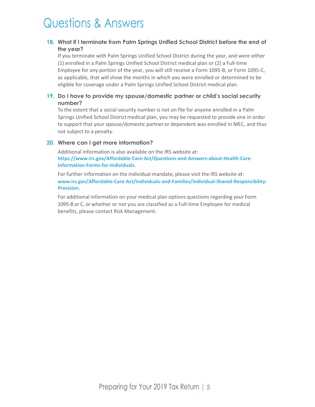#### **18. What if I terminate from Palm Springs Unified School District before the end of the year?**

If you terminate with Palm Springs Unified School District during the year, and were either (1) enrolled in a Palm Springs Unified School District medical plan or (2) a Full-time Employee for any portion of the year, you will still receive a Form 1095-B, or Form 1095-C, as applicable, that will show the months in which you were enrolled or determined to be eligible for coverage under a Palm Springs Unified School District medical plan.

#### **19. Do I have to provide my spouse/domestic partner or child's social security number?**

To the extent that a social security number is not on file for anyone enrolled in a Palm Springs Unified School Districtmedical plan, you may be requested to provide one in order to support that your spouse/domestic partner or dependent was enrolled in MEC, and thus not subject to a penalty.

#### **20. Where can I get more information?**

Additional information is also available on the IRS website at: **[https://www.irs.gov/Affordable-Care-Act/Questions-and-Answers-about-Health-Care-](https://www.irs.gov/Affordable-Care-Act/Questions-and-Answers-about-Health-Care-Information-Forms-for-Individuals)[Information-Forms-for-Individuals.](https://www.irs.gov/Affordable-Care-Act/Questions-and-Answers-about-Health-Care-Information-Forms-for-Individuals)**

For further information on the individual mandate, please visit the IRS website at: **[www.irs.gov/Affordable-Care-Act/Individuals-and-Families/Individual-Shared-Responsibility-](http://www.irs.gov/Affordable-Care-Act/Individuals-and-Families/Individual-Shared-Responsibility-Provision)[Provision.](http://www.irs.gov/Affordable-Care-Act/Individuals-and-Families/Individual-Shared-Responsibility-Provision)** 

For additional information on your medical plan options questions regarding your Form 1095-B or C, or whether or not you are classified as a Full-time Employee for medical benefits, please contact Risk Management.